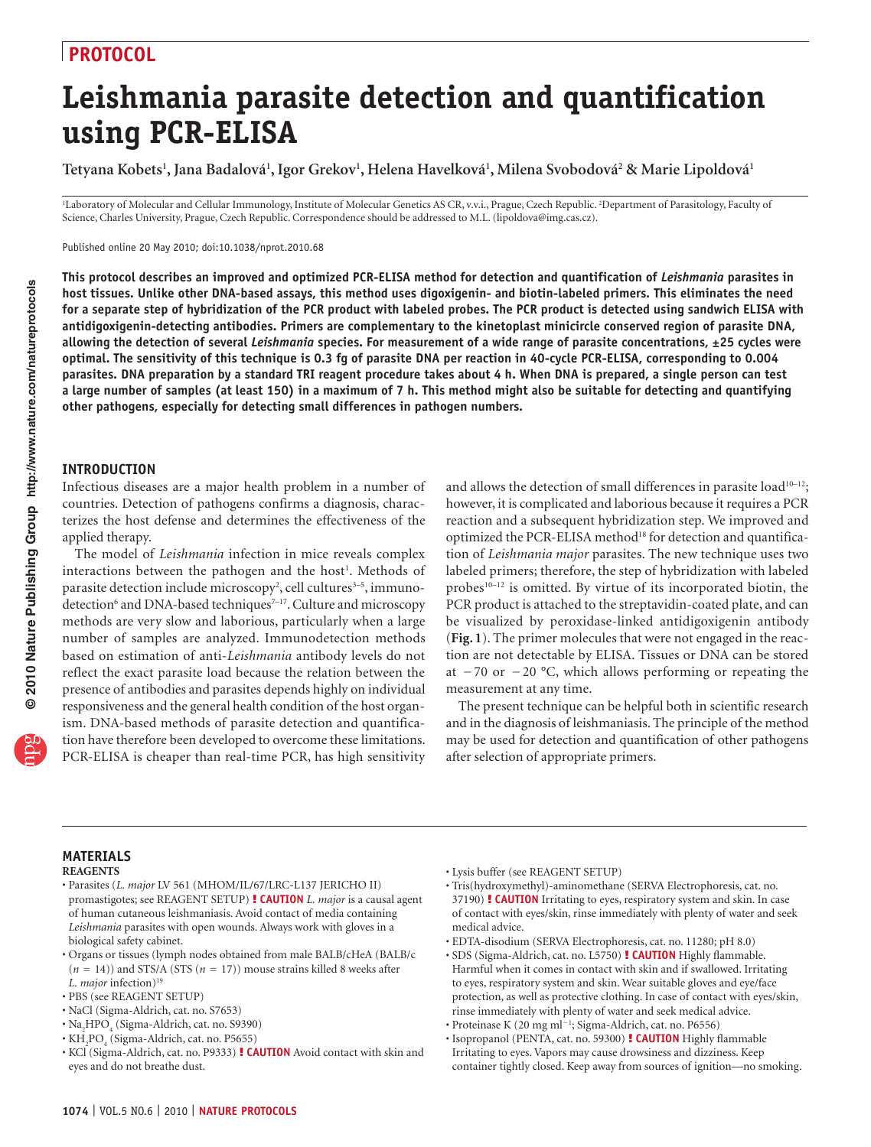# **Leishmania parasite detection and quantification using PCR-ELISA**

 $\rm Tetyana\,Kobets<sup>1</sup>, Jana\,Badalova<sup>1</sup>, Igor\,Grekov<sup>1</sup>, Helena Havelkova<sup>1</sup>, Milena Svobodová<sup>2</sup> & Marie Lipoldová<sup>1</sup>$ 

'Laboratory of Molecular and Cellular Immunology, Institute of Molecular Genetics AS CR, v.v.i., Prague, Czech Republic. <sup>2</sup>Department of Parasitology, Faculty of Science, Charles University, Prague, Czech Republic. Correspondence should be addressed to M.L. (lipoldova@img.cas.cz).

Published online 20 May 2010; doi:10.1038/nprot.2010.68

**This protocol describes an improved and optimized PCR-ELISA method for detection and quantification of** *Leishmania* **parasites in host tissues. Unlike other DNA-based assays, this method uses digoxigenin- and biotin-labeled primers. This eliminates the need for a separate step of hybridization of the PCR product with labeled probes. The PCR product is detected using sandwich ELISA with antidigoxigenin-detecting antibodies. Primers are complementary to the kinetoplast minicircle conserved region of parasite DNA, allowing the detection of several** *Leishmania* **species. For measurement of a wide range of parasite concentrations, ±25 cycles were optimal. The sensitivity of this technique is 0.3 fg of parasite DNA per reaction in 40-cycle PCR-ELISA, corresponding to 0.004 parasites. DNA preparation by a standard TRI reagent procedure takes about 4 h. When DNA is prepared, a single person can test a large number of samples (at least 150) in a maximum of 7 h. This method might also be suitable for detecting and quantifying other pathogens, especially for detecting small differences in pathogen numbers.**

#### **INTRODUCTION**

Infectious diseases are a major health problem in a number of countries. Detection of pathogens confirms a diagnosis, characterizes the host defense and determines the effectiveness of the applied therapy.

The model of *Leishmania* infection in mice reveals complex interactions between the pathogen and the host<sup>[1](#page-6-0)</sup>. Methods of parasite detection include microscopy<sup>[2](#page-6-1)</sup>, cell cultures<sup>3-5</sup>, immuno-detection<sup>[6](#page-6-2)</sup> and DNA-based techniques<sup>7-17</sup>. Culture and microscopy methods are very slow and laborious, particularly when a large number of samples are analyzed. Immunodetection methods based on estimation of anti-*Leishmania* antibody levels do not reflect the exact parasite load because the relation between the presence of antibodies and parasites depends highly on individual responsiveness and the general health condition of the host organism. DNA-based methods of parasite detection and quantification have therefore been developed to overcome these limitations. PCR-ELISA is cheaper than real-time PCR, has high sensitivity

and allows the detection of small differences in parasite load $10-12$ ; however, it is complicated and laborious because it requires a PCR reaction and a subsequent hybridization step. We improved and optimized the PCR-ELISA method<sup>18</sup> for detection and quantification of *Leishmania major* parasites. The new technique uses two labeled primers; therefore, the step of hybridization with labeled probes $10-12$  is omitted. By virtue of its incorporated biotin, the PCR product is attached to the streptavidin-coated plate, and can be visualized by peroxidase-linked antidigoxigenin antibody (**[Fig. 1](#page-1-0)**). The primer molecules that were not engaged in the reaction are not detectable by ELISA. Tissues or DNA can be stored at −70 or −20 °C, which allows performing or repeating the measurement at any time.

The present technique can be helpful both in scientific research and in the diagnosis of leishmaniasis. The principle of the method may be used for detection and quantification of other pathogens after selection of appropriate primers.

#### **MATERIALS**

**REAGENTS**

- Parasites (*L. major* LV 561 (MHOM/IL/67/LRC-L137 JERICHO II) promastigotes; see REAGENT SETUP) ! **CAUTION** *L. major* is a causal agent of human cutaneous leishmaniasis. Avoid contact of media containing *Leishmania* parasites with open wounds. Always work with gloves in a biological safety cabinet.
- Organs or tissues (lymph nodes obtained from male BALB/cHeA (BALB/c  $(n = 14)$ ) and STS/A (STS  $(n = 17)$ ) mouse strains killed 8 weeks after *L. major* infection)<sup>[19](#page-6-4)</sup>
- PBS (see REAGENT SETUP) •
- NaCl (Sigma-Aldrich, cat. no. S7653)
- $\text{Na}_2\text{HPO}_4$  (Sigma-Aldrich, cat. no. S9390)
- $KH_2PO_4$  (Sigma-Aldrich, cat. no. P5655)
- KCl (Sigma-Aldrich, cat. no. P9333) **! CAUTION** Avoid contact with skin and eyes and do not breathe dust.
- Lysis buffer (see REAGENT SETUP) •
- Tris(hydroxymethyl)-aminomethane (SERVA Electrophoresis, cat. no. 37190) ! **CAUTION** Irritating to eyes, respiratory system and skin. In case of contact with eyes/skin, rinse immediately with plenty of water and seek medical advice.
- EDTA-disodium (SERVA Electrophoresis, cat. no. 11280; pH 8.0) •
- SDS (Sigma-Aldrich, cat. no. L5750) **! CAUTION** Highly flammable. Harmful when it comes in contact with skin and if swallowed. Irritating to eyes, respiratory system and skin. Wear suitable gloves and eye/face protection, as well as protective clothing. In case of contact with eyes/skin, rinse immediately with plenty of water and seek medical advice.
- Proteinase K (20 mg ml−1 ; Sigma-Aldrich, cat. no. P6556) •
- Isopropanol (PENTA, cat. no. 59300) **! CAUTION** Highly flammable Irritating to eyes. Vapors may cause drowsiness and dizziness. Keep container tightly closed. Keep away from sources of ignition—no smoking.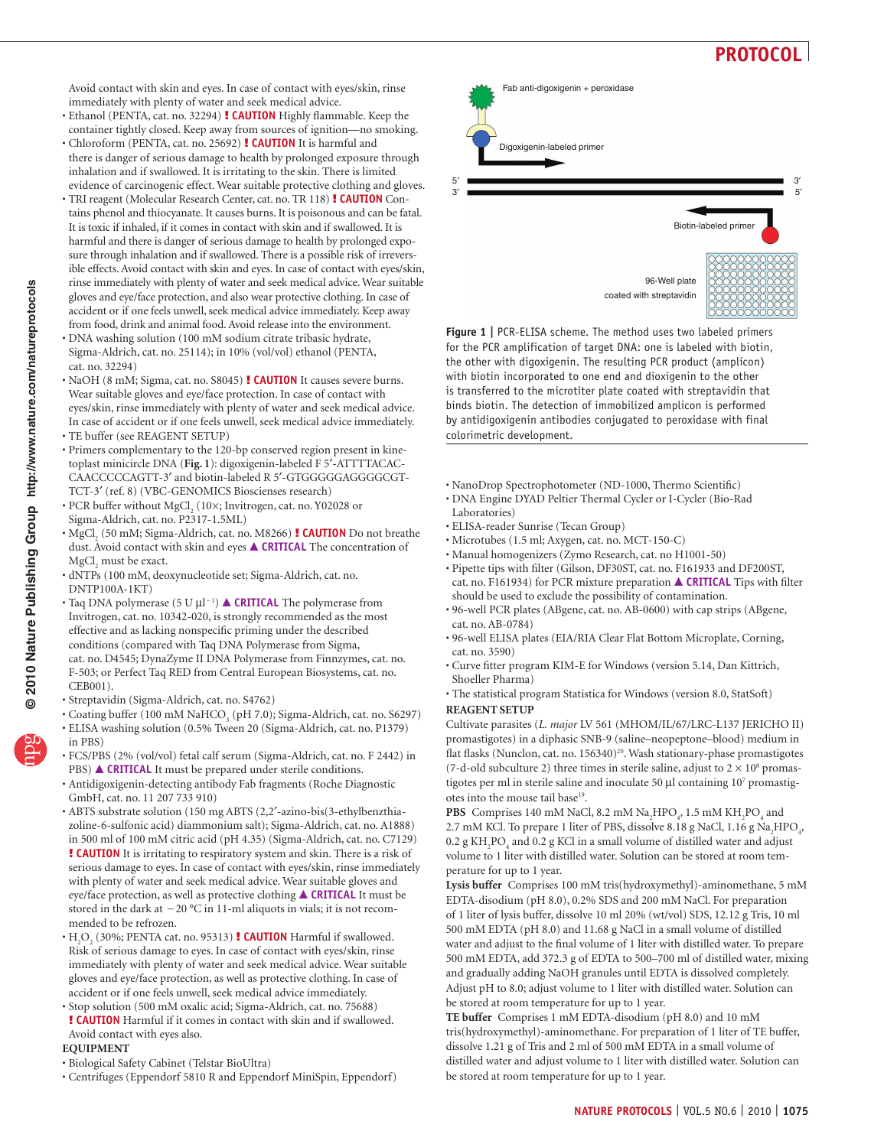Avoid contact with skin and eyes. In case of contact with eyes/skin, rinse immediately with plenty of water and seek medical advice.

- Ethanol (PENTA, cat. no. 32294) **! CAUTION** Highly flammable. Keep the container tightly closed. Keep away from sources of ignition—no smoking.
- Chloroform (PENTA, cat. no. 25692) **! CAUTION** It is harmful and there is danger of serious damage to health by prolonged exposure through inhalation and if swallowed. It is irritating to the skin. There is limited evidence of carcinogenic effect. Wear suitable protective clothing and gloves.
- TRI reagent (Molecular Research Center, cat. no. TR 118) **! CAUTION** Contains phenol and thiocyanate. It causes burns. It is poisonous and can be fatal. It is toxic if inhaled, if it comes in contact with skin and if swallowed. It is harmful and there is danger of serious damage to health by prolonged exposure through inhalation and if swallowed. There is a possible risk of irreversible effects. Avoid contact with skin and eyes. In case of contact with eyes/skin, rinse immediately with plenty of water and seek medical advice. Wear suitable gloves and eye/face protection, and also wear protective clothing. In case of accident or if one feels unwell, seek medical advice immediately. Keep away from food, drink and animal food. Avoid release into the environment.
- DNA washing solution (100 mM sodium citrate tribasic hydrate, Sigma-Aldrich, cat. no. 25114); in 10% (vol/vol) ethanol (PENTA, cat. no. 32294)
- NaOH (8 mM; Sigma, cat. no. S8045) **! CAUTION** It causes severe burns. Wear suitable gloves and eye/face protection. In case of contact with eyes/skin, rinse immediately with plenty of water and seek medical advice. In case of accident or if one feels unwell, seek medical advice immediately.
- TE buffer (see REAGENT SETUP) •
- Primers complementary to the 120-bp conserved region present in kinetoplast minicircle DNA (**[Fig. 1](#page-1-0)**): digoxigenin-labeled F 5′-ATTTTACAC-CAACCCCCAGTT-3′ and biotin-labeled R 5′-GTGGGGGAGGGGCGT-TCT-3′ (ref. [8\)](#page-6-5) (VBC-GENOMICS Bioscienses research)
- PCR buffer without  $\mathrm{MgCl}_{2}$  (10 $\times$ ; Invitrogen, cat. no. Y02028 or Sigma-Aldrich, cat. no. P2317-1.5ML)
- MgCl<sub>2</sub> (50 mM; Sigma-Aldrich, cat. no. M8266) **! CAUTION** Do not breathe dust. Avoid contact with skin and eyes **CRITICAL** The concentration of  $MgCl<sub>2</sub>$  must be exact.
- dNTPs (100 mM, deoxynucleotide set; Sigma-Aldrich, cat. no. DNTP100A-1KT)
- Taq DNA polymerase (5 U μl<sup>-1</sup>) ▲ **CRITICAL** The polymerase from Invitrogen, cat. no. 10342-020, is strongly recommended as the most effective and as lacking nonspecific priming under the described conditions (compared with Taq DNA Polymerase from Sigma, cat. no. D4545; DynaZyme II DNA Polymerase from Finnzymes, cat. no. F-503; or Perfect Taq RED from Central European Biosystems, cat. no. CEB001).
- Streptavidin (Sigma-Aldrich, cat. no. S4762) •
- Coating buffer (100 mM NaHCO $\!_{\rm 3}$  (pH 7.0); Sigma-Aldrich, cat. no. S6297)
- ELISA washing solution (0.5% Tween 20 (Sigma-Aldrich, cat. no. P1379) in PBS)
- FCS/PBS (2% (vol/vol) fetal calf serum (Sigma-Aldrich, cat. no. F 2442) in PBS) **△ CRITICAL** It must be prepared under sterile conditions.
- Antidigoxigenin-detecting antibody Fab fragments (Roche Diagnostic GmbH, cat. no. 11 207 733 910)
- ABTS substrate solution (150 mg ABTS (2,2'-azino-bis(3-ethylbenzthiazoline-6-sulfonic acid) diammonium salt); Sigma-Aldrich, cat. no. A1888) in 500 ml of 100 mM citric acid (pH 4.35) (Sigma-Aldrich, cat. no. C7129) ! **CAUTION** It is irritating to respiratory system and skin. There is a risk of serious damage to eyes. In case of contact with eyes/skin, rinse immediately with plenty of water and seek medical advice. Wear suitable gloves and eye/face protection, as well as protective clothing **CRITICAL** It must be stored in the dark at −20 °C in 11-ml aliquots in vials; it is not recommended to be refrozen.
- $\cdot$  H<sub>2</sub>O<sub>2</sub> (30%; PENTA cat. no. 95313) **! CAUTION** Harmful if swallowed. Risk of serious damage to eyes. In case of contact with eyes/skin, rinse immediately with plenty of water and seek medical advice. Wear suitable gloves and eye/face protection, as well as protective clothing. In case of accident or if one feels unwell, seek medical advice immediately.
- Stop solution (500 mM oxalic acid; Sigma-Aldrich, cat. no. 75688) ! **CAUTION** Harmful if it comes in contact with skin and if swallowed. Avoid contact with eyes also.

#### **EQUIPMENT**

- Biological Safety Cabinet (Telstar BioUltra) •
- Centrifuges (Eppendorf 5810 R and Eppendorf MiniSpin, Eppendorf) •



<span id="page-1-0"></span>**Figure 1 |** PCR-ELISA scheme. The method uses two labeled primers for the PCR amplification of target DNA: one is labeled with biotin, the other with digoxigenin. The resulting PCR product (amplicon) with biotin incorporated to one end and dioxigenin to the other is transferred to the microtiter plate coated with streptavidin that binds biotin. The detection of immobilized amplicon is performed by antidigoxigenin antibodies conjugated to peroxidase with final colorimetric development.

- NanoDrop Spectrophotometer (ND-1000, Thermo Scientific) •
- DNA Engine DYAD Peltier Thermal Cycler or I-Cycler (Bio-Rad Laboratories)
- ELISA-reader Sunrise (Tecan Group) •
- Microtubes (1.5 ml; Axygen, cat. no. MCT-150-C)
- Manual homogenizers (Zymo Research, cat. no H1001-50) •
- Pipette tips with filter (Gilson, DF30ST, cat. no. F161933 and DF200ST, cat. no. F161934) for PCR mixture preparation **CRITICAL** Tips with filter should be used to exclude the possibility of contamination.
- 96-well PCR plates (ABgene, cat. no. AB-0600) with cap strips (ABgene, cat. no. AB-0784)
- 96-well ELISA plates (EIA/RIA Clear Flat Bottom Microplate, Corning, cat. no. 3590)
- Curve fitter program KIM-E for Windows (version 5.14, Dan Kittrich, Shoeller Pharma)
- The statistical program Statistica for Windows (version 8.0, StatSoft) **REAGENT SETUP**

Cultivate parasites (*L. major* LV 561 (MHOM/IL/67/LRC-L137 JERICHO II) promastigotes) in a diphasic SNB-9 (saline–neopeptone–blood) medium in flat flasks (Nunclon, cat. no. 156340)<sup>[20](#page-6-6)</sup>. Wash stationary-phase promastigotes (7-d-old subculture 2) three times in sterile saline, adjust to  $2 \times 10^8$  promastigotes per ml in sterile saline and inoculate 50 µl containing 107 promastigotes into the mouse tail base<sup>19</sup>.

**PBS** Comprises 140 mM NaCl, 8.2 mM Na<sub>2</sub>HPO<sub>4</sub>, 1.5 mM KH<sub>2</sub>PO<sub>4</sub> and 2.7 mM KCl. To prepare 1 liter of PBS, dissolve 8.18 g NaCl, 1.16 g Na<sub>2</sub>HPO<sub>4</sub>,  $0.2$  g  $\mathrm{KH_{2}PO_{4}}$  and  $0.2$  g KCl in a small volume of distilled water and adjust volume to 1 liter with distilled water. Solution can be stored at room temperature for up to 1 year.

**Lysis buffer** Comprises 100 mM tris(hydroxymethyl)-aminomethane, 5 mM EDTA-disodium (pH 8.0), 0.2% SDS and 200 mM NaCl. For preparation of 1 liter of lysis buffer, dissolve 10 ml 20% (wt/vol) SDS, 12.12 g Tris, 10 ml 500 mM EDTA (pH 8.0) and 11.68 g NaCl in a small volume of distilled water and adjust to the final volume of 1 liter with distilled water. To prepare 500 mM EDTA, add 372.3 g of EDTA to 500–700 ml of distilled water, mixing and gradually adding NaOH granules until EDTA is dissolved completely. Adjust pH to 8.0; adjust volume to 1 liter with distilled water. Solution can be stored at room temperature for up to 1 year.

**TE buffer** Comprises 1 mM EDTA-disodium (pH 8.0) and 10 mM tris(hydroxymethyl)-aminomethane. For preparation of 1 liter of TE buffer, dissolve 1.21 g of Tris and 2 ml of 500 mM EDTA in a small volume of distilled water and adjust volume to 1 liter with distilled water. Solution can be stored at room temperature for up to 1 year.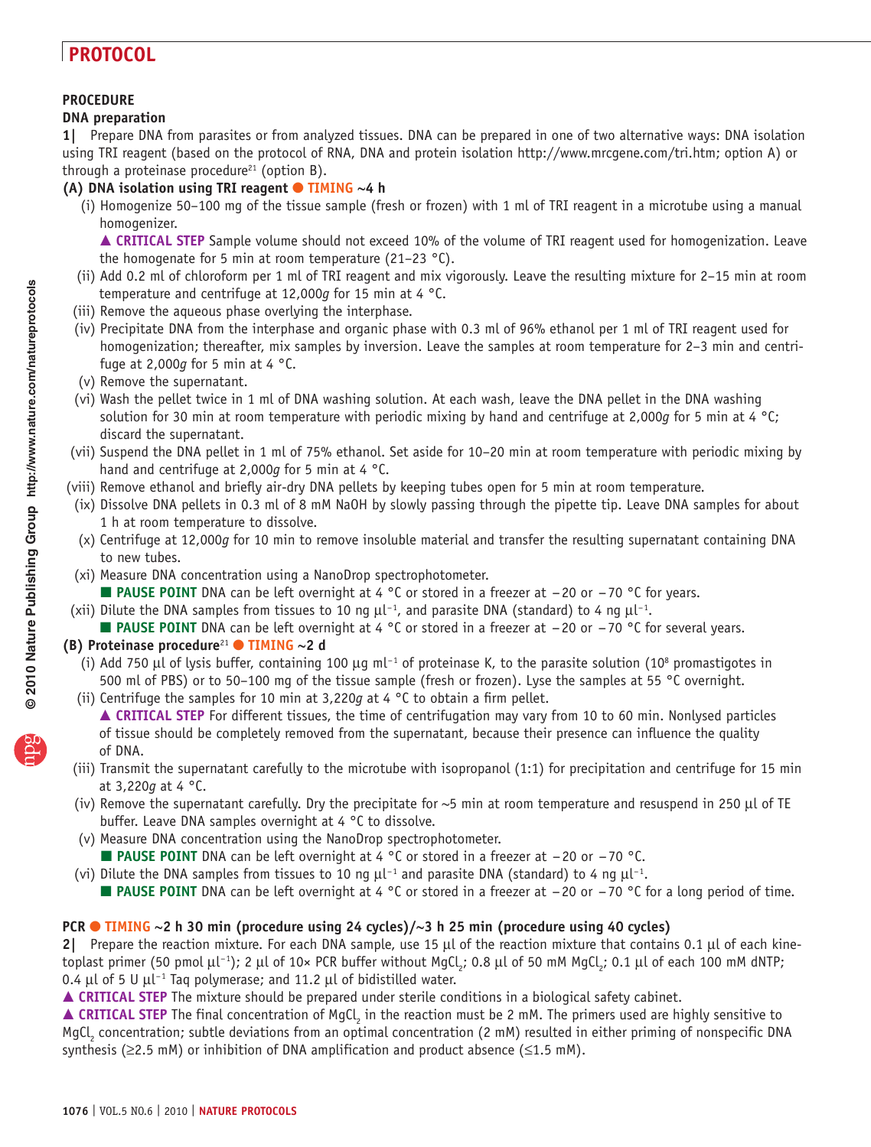### **PROCEDURE**

### **DNA preparation**

**1|** Prepare DNA from parasites or from analyzed tissues. DNA can be prepared in one of two alternative ways: DNA isolation using TRI reagent (based on the protocol of RNA, DNA and protein isolation http://www.mrcgene.com/tri.htm; option A) or through a proteinase procedure<sup>21</sup> (option B).

### **(A) DNA isolation using TRI reagent** ● **TIMING ~4 h**

(i) Homogenize 50–100 mg of the tissue sample (fresh or frozen) with 1 ml of TRI reagent in a microtube using a manual homogenizer.

 **CRITICAL STEP** Sample volume should not exceed 10% of the volume of TRI reagent used for homogenization. Leave the homogenate for 5 min at room temperature (21–23  $\degree$ C).

- (ii) Add 0.2 ml of chloroform per 1 ml of TRI reagent and mix vigorously. Leave the resulting mixture for 2–15 min at room temperature and centrifuge at 12,000*g* for 15 min at 4 °C.
- (iii) Remove the aqueous phase overlying the interphase.
- (iv) Precipitate DNA from the interphase and organic phase with 0.3 ml of 96% ethanol per 1 ml of TRI reagent used for homogenization; thereafter, mix samples by inversion. Leave the samples at room temperature for 2–3 min and centrifuge at 2,000*g* for 5 min at 4 °C.
- (v) Remove the supernatant.
- (vi) Wash the pellet twice in 1 ml of DNA washing solution. At each wash, leave the DNA pellet in the DNA washing solution for 30 min at room temperature with periodic mixing by hand and centrifuge at 2,000*g* for 5 min at 4 °C; discard the supernatant.
- (vii) Suspend the DNA pellet in 1 ml of 75% ethanol. Set aside for 10–20 min at room temperature with periodic mixing by hand and centrifuge at 2,000*g* for 5 min at 4 °C.
- (viii) Remove ethanol and briefly air-dry DNA pellets by keeping tubes open for 5 min at room temperature.
- (ix) Dissolve DNA pellets in 0.3 ml of 8 mM NaOH by slowly passing through the pipette tip. Leave DNA samples for about 1 h at room temperature to dissolve.
- (x) Centrifuge at 12,000*g* for 10 min to remove insoluble material and transfer the resulting supernatant containing DNA to new tubes.
- (xi) Measure DNA concentration using a NanoDrop spectrophotometer.
	- **PAUSE POINT** DNA can be left overnight at 4 °C or stored in a freezer at −20 or −70 °C for years.
- (xii) Dilute the DNA samples from tissues to 10 ng  $\mu l^{-1}$ , and parasite DNA (standard) to 4 ng  $\mu l^{-1}$ . **PAUSE POINT** DNA can be left overnight at 4 °C or stored in a freezer at −20 or −70 °C for several years.

### **(B) Proteinase procedure**[21](#page-6-6) ● **TIMING ~2 d**

- (i) Add 750 µl of lysis buffer, containing 100 µg ml<sup>-1</sup> of proteinase K, to the parasite solution (10<sup>8</sup> promastigotes in 500 ml of PBS) or to 50–100 mg of the tissue sample (fresh or frozen). Lyse the samples at 55 °C overnight.
- (ii) Centrifuge the samples for 10 min at 3,220*g* at 4 °C to obtain a firm pellet.
	- **CRITICAL STEP** For different tissues, the time of centrifugation may vary from 10 to 60 min. Nonlysed particles of tissue should be completely removed from the supernatant, because their presence can influence the quality of DNA.
- (iii) Transmit the supernatant carefully to the microtube with isopropanol (1:1) for precipitation and centrifuge for 15 min at 3,220*g* at 4 °C.
- (iv) Remove the supernatant carefully. Dry the precipitate for ~5 min at room temperature and resuspend in 250 µl of TE buffer. Leave DNA samples overnight at 4 °C to dissolve.
- (v) Measure DNA concentration using the NanoDrop spectrophotometer. **PAUSE POINT** DNA can be left overnight at 4 °C or stored in a freezer at −20 or −70 °C.
- (vi) Dilute the DNA samples from tissues to 10 ng  $\mu$ l<sup>-1</sup> and parasite DNA (standard) to 4 ng  $\mu$ l<sup>-1</sup>. **PAUSE POINT** DNA can be left overnight at 4 °C or stored in a freezer at −20 or −70 °C for a long period of time.

### **PCR** ● **TIMING ~2 h 30 min (procedure using 24 cycles)/~3 h 25 min (procedure using 40 cycles)**

**2|** Prepare the reaction mixture. For each DNA sample, use 15 µl of the reaction mixture that contains 0.1 µl of each kinetoplast primer (50 pmol μl<sup>−1</sup>); 2 μl of 10× PCR buffer without MgCl<sub>2</sub>; 0.8 μl of 50 mM MgCl<sub>2</sub>; 0.1 μl of each 100 mM dNTP; 0.4  $\mu$ l of 5 U  $\mu$ l<sup>-1</sup> Taq polymerase; and 11.2  $\mu$ l of bidistilled water.

**CRITICAL STEP** The mixture should be prepared under sterile conditions in a biological safety cabinet.

▲ CRITICAL STEP The final concentration of MgCl<sub>2</sub> in the reaction must be 2 mM. The primers used are highly sensitive to <code>MgCl</code> concentration; subtle deviations from an optimal concentration (2 mM) resulted in either priming of nonspecific <code>DNA</code> synthesis ( $\geq$ 2.5 mM) or inhibition of DNA amplification and product absence ( $\leq$ 1.5 mM).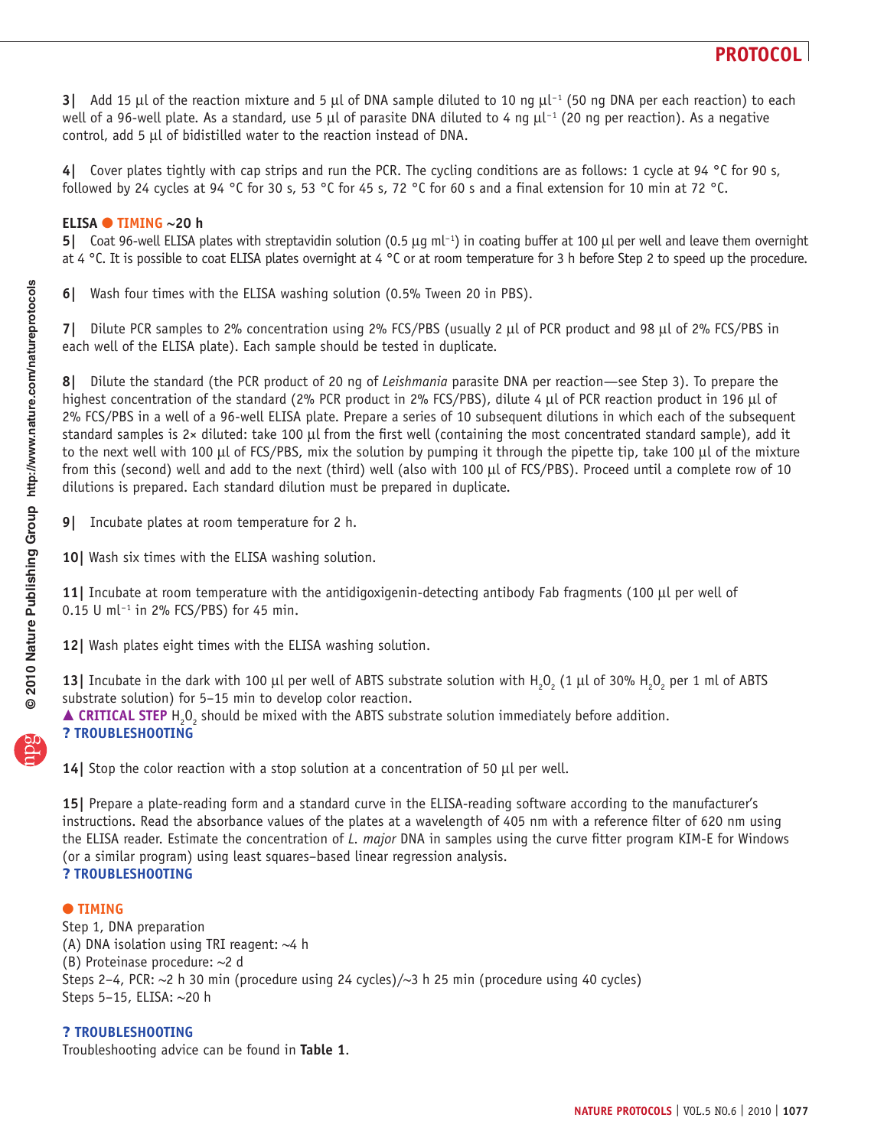**3** | Add 15 µl of the reaction mixture and 5 µl of DNA sample diluted to 10 ng µl<sup>-1</sup> (50 ng DNA per each reaction) to each well of a 96-well plate. As a standard, use 5  $\mu$ l of parasite DNA diluted to 4 ng  $\mu$ l-1 (20 ng per reaction). As a negative control, add 5 µl of bidistilled water to the reaction instead of DNA.

**4|** Cover plates tightly with cap strips and run the PCR. The cycling conditions are as follows: 1 cycle at 94 °C for 90 s, followed by 24 cycles at 94 °C for 30 s, 53 °C for 45 s, 72 °C for 60 s and a final extension for 10 min at 72 °C.

#### **ELISA** ● **TIMING ~20 h**

**5|** Coat 96-well ELISA plates with streptavidin solution (0.5 µg ml−1 ) in coating buffer at 100 µl per well and leave them overnight at 4  $\degree$ C. It is possible to coat ELISA plates overnight at 4  $\degree$ C or at room temperature for 3 h before Step 2 to speed up the procedure.

**6|** Wash four times with the ELISA washing solution (0.5% Tween 20 in PBS).

**7|** Dilute PCR samples to 2% concentration using 2% FCS/PBS (usually 2 µl of PCR product and 98 µl of 2% FCS/PBS in each well of the ELISA plate). Each sample should be tested in duplicate.

**8|** Dilute the standard (the PCR product of 20 ng of *Leishmania* parasite DNA per reaction—see Step 3). To prepare the highest concentration of the standard (2% PCR product in 2% FCS/PBS), dilute 4 µl of PCR reaction product in 196 µl of 2% FCS/PBS in a well of a 96-well ELISA plate. Prepare a series of 10 subsequent dilutions in which each of the subsequent standard samples is  $2 \times$  diluted: take 100 µl from the first well (containing the most concentrated standard sample), add it to the next well with 100 µl of FCS/PBS, mix the solution by pumping it through the pipette tip, take 100 µl of the mixture from this (second) well and add to the next (third) well (also with 100 µl of FCS/PBS). Proceed until a complete row of 10 dilutions is prepared. Each standard dilution must be prepared in duplicate.

**9|** Incubate plates at room temperature for 2 h.

**10|** Wash six times with the ELISA washing solution.

**11|** Incubate at room temperature with the antidigoxigenin-detecting antibody Fab fragments (100 µl per well of 0.15 U ml<sup>-1</sup> in 2% FCS/PBS) for 45 min.

**12|** Wash plates eight times with the ELISA washing solution.

**13** Incubate in the dark with 100 µl per well of ABTS substrate solution with  $H_2O_2$  (1 µl of 30%  $H_2O_2$  per 1 ml of ABTS substrate solution) for 5–15 min to develop color reaction.

▲ CRITICAL STEP H<sub>2</sub>O<sub>2</sub> should be mixed with the ABTS substrate solution immediately before addition. ? **TROUBLESHOOTING**

**14|** Stop the color reaction with a stop solution at a concentration of 50 µl per well.

**15|** Prepare a plate-reading form and a standard curve in the ELISA-reading software according to the manufacturer's instructions. Read the absorbance values of the plates at a wavelength of 405 nm with a reference filter of 620 nm using the ELISA reader. Estimate the concentration of *L. major* DNA in samples using the curve fitter program KIM-E for Windows (or a similar program) using least squares–based linear regression analysis. ? **TROUBLESHOOTING**

#### ● **TIMING**

Step 1, DNA preparation (A) DNA isolation using TRI reagent: ~4 h (B) Proteinase procedure: ~2 d Steps 2–4, PCR: ~2 h 30 min (procedure using 24 cycles)/~3 h 25 min (procedure using 40 cycles) Steps 5–15, ELISA: ~20 h

### ? **TROUBLESHOOTING**

Troubleshooting advice can be found in **[Table 1](#page-4-0)**.

**protocol**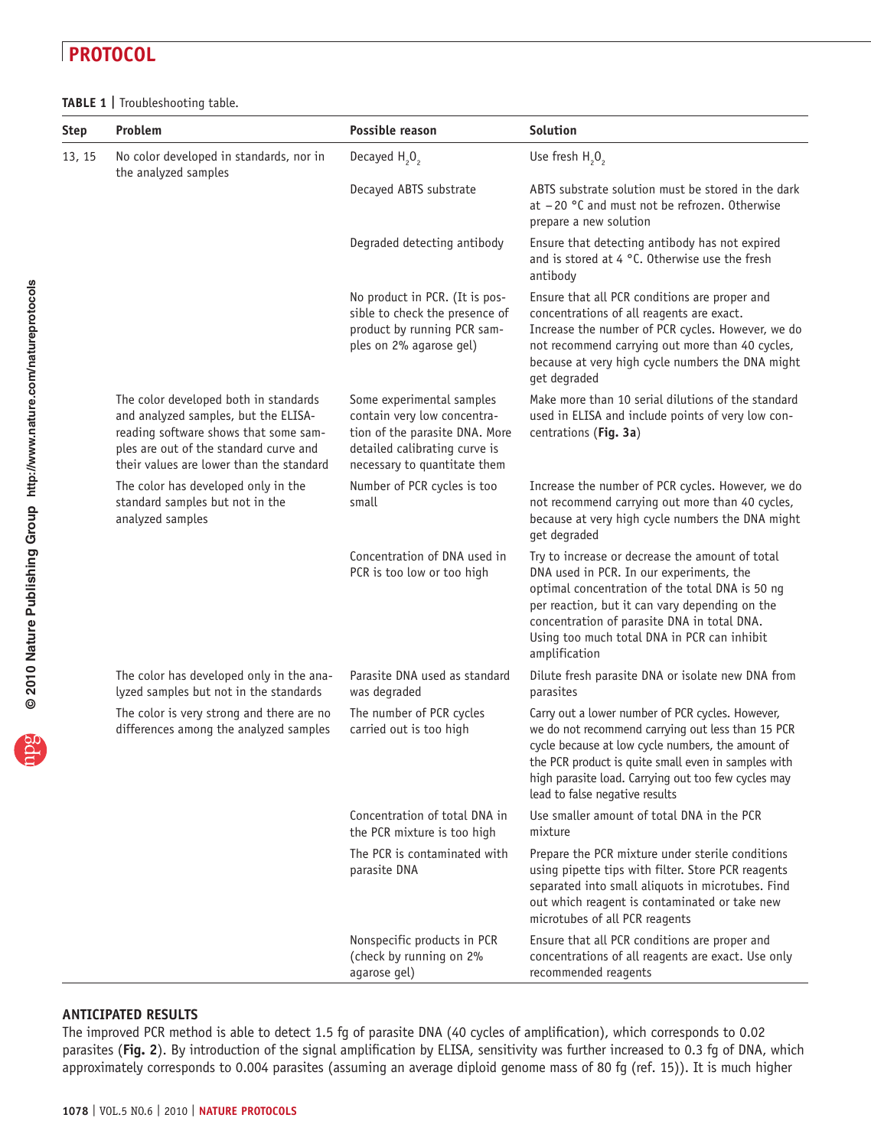#### <span id="page-4-0"></span>**Table 1 |** Troubleshooting table.

| <b>Step</b> | Problem                                                                                                                                                                                                      | <b>Possible reason</b>                                                                                                                                      | Solution                                                                                                                                                                                                                                                                                                        |
|-------------|--------------------------------------------------------------------------------------------------------------------------------------------------------------------------------------------------------------|-------------------------------------------------------------------------------------------------------------------------------------------------------------|-----------------------------------------------------------------------------------------------------------------------------------------------------------------------------------------------------------------------------------------------------------------------------------------------------------------|
| 13, 15      | No color developed in standards, nor in<br>the analyzed samples                                                                                                                                              | Decayed $H_2O_2$                                                                                                                                            | Use fresh H <sub>2</sub> O <sub>2</sub>                                                                                                                                                                                                                                                                         |
|             |                                                                                                                                                                                                              | Decayed ABTS substrate                                                                                                                                      | ABTS substrate solution must be stored in the dark<br>at $-20$ °C and must not be refrozen. Otherwise<br>prepare a new solution                                                                                                                                                                                 |
|             |                                                                                                                                                                                                              | Degraded detecting antibody                                                                                                                                 | Ensure that detecting antibody has not expired<br>and is stored at 4 °C. Otherwise use the fresh<br>antibody                                                                                                                                                                                                    |
|             |                                                                                                                                                                                                              | No product in PCR. (It is pos-<br>sible to check the presence of<br>product by running PCR sam-<br>ples on 2% agarose gel)                                  | Ensure that all PCR conditions are proper and<br>concentrations of all reagents are exact.<br>Increase the number of PCR cycles. However, we do<br>not recommend carrying out more than 40 cycles,<br>because at very high cycle numbers the DNA might<br>get degraded                                          |
|             | The color developed both in standards<br>and analyzed samples, but the ELISA-<br>reading software shows that some sam-<br>ples are out of the standard curve and<br>their values are lower than the standard | Some experimental samples<br>contain very low concentra-<br>tion of the parasite DNA. More<br>detailed calibrating curve is<br>necessary to quantitate them | Make more than 10 serial dilutions of the standard<br>used in ELISA and include points of very low con-<br>centrations (Fig. 3a)                                                                                                                                                                                |
|             | The color has developed only in the<br>standard samples but not in the<br>analyzed samples                                                                                                                   | Number of PCR cycles is too<br>small                                                                                                                        | Increase the number of PCR cycles. However, we do<br>not recommend carrying out more than 40 cycles,<br>because at very high cycle numbers the DNA might<br>get degraded                                                                                                                                        |
|             |                                                                                                                                                                                                              | Concentration of DNA used in<br>PCR is too low or too high                                                                                                  | Try to increase or decrease the amount of total<br>DNA used in PCR. In our experiments, the<br>optimal concentration of the total DNA is 50 ng<br>per reaction, but it can vary depending on the<br>concentration of parasite DNA in total DNA.<br>Using too much total DNA in PCR can inhibit<br>amplification |
|             | The color has developed only in the ana-<br>lyzed samples but not in the standards                                                                                                                           | Parasite DNA used as standard<br>was degraded                                                                                                               | Dilute fresh parasite DNA or isolate new DNA from<br>parasites                                                                                                                                                                                                                                                  |
|             | The color is very strong and there are no<br>differences among the analyzed samples                                                                                                                          | The number of PCR cycles<br>carried out is too high                                                                                                         | Carry out a lower number of PCR cycles. However,<br>we do not recommend carrying out less than 15 PCR<br>cycle because at low cycle numbers, the amount of<br>the PCR product is quite small even in samples with<br>high parasite load. Carrying out too few cycles may<br>lead to false negative results      |
|             |                                                                                                                                                                                                              | Concentration of total DNA in<br>the PCR mixture is too high                                                                                                | Use smaller amount of total DNA in the PCR<br>mixture                                                                                                                                                                                                                                                           |
|             |                                                                                                                                                                                                              | The PCR is contaminated with<br>parasite DNA                                                                                                                | Prepare the PCR mixture under sterile conditions<br>using pipette tips with filter. Store PCR reagents<br>separated into small aliquots in microtubes. Find<br>out which reagent is contaminated or take new<br>microtubes of all PCR reagents                                                                  |
|             |                                                                                                                                                                                                              | Nonspecific products in PCR<br>(check by running on 2%<br>agarose gel)                                                                                      | Ensure that all PCR conditions are proper and<br>concentrations of all reagents are exact. Use only<br>recommended reagents                                                                                                                                                                                     |

### **ANTICIPATED RESULTS**

The improved PCR method is able to detect 1.5 fg of parasite DNA (40 cycles of amplification), which corresponds to 0.02 parasites (**[Fig. 2](#page-5-0)**). By introduction of the signal amplification by ELISA, sensitivity was further increased to 0.3 fg of DNA, which approximately corresponds to 0.004 parasites (assuming an average diploid genome mass of 80 fg (ref. [15\)](#page-6-8)). It is much higher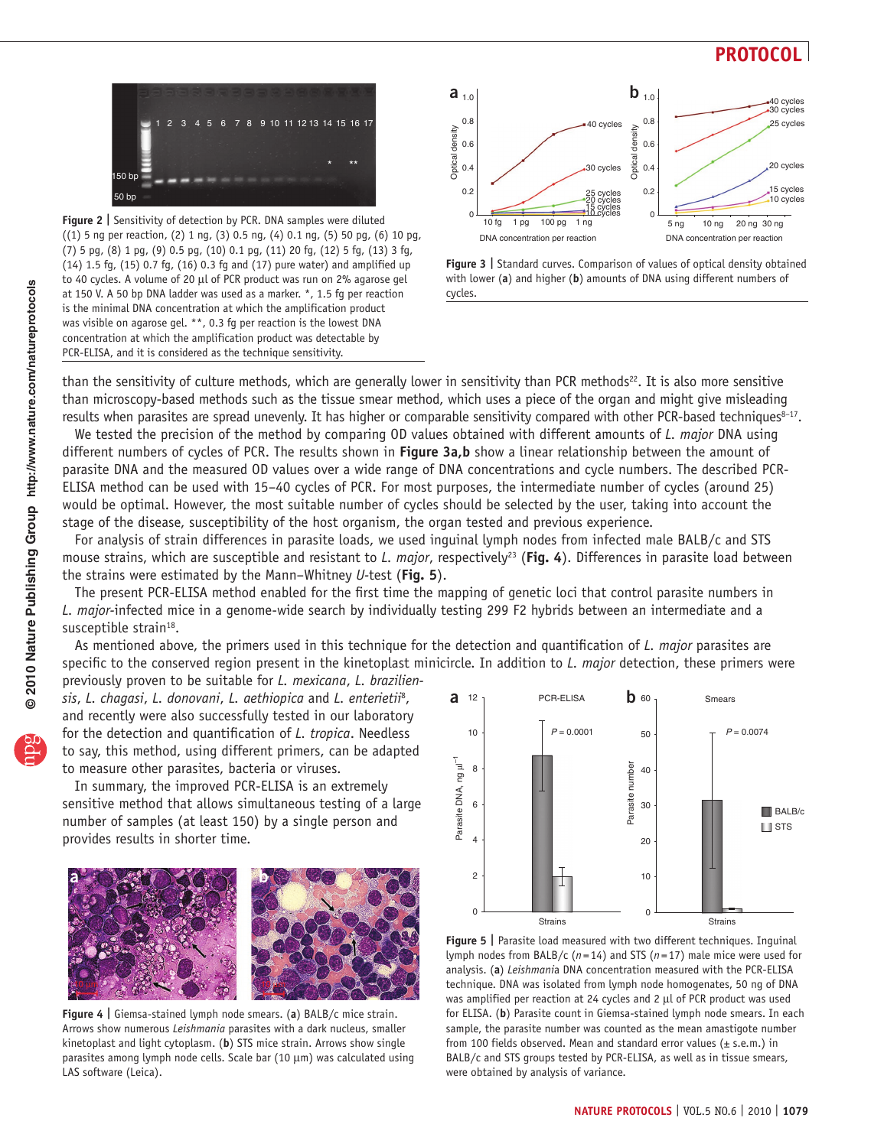

<span id="page-5-0"></span>**Figure 2 |** Sensitivity of detection by PCR. DNA samples were diluted ((1) 5 ng per reaction, (2) 1 ng, (3) 0.5 ng, (4) 0.1 ng, (5) 50 pg, (6) 10 pg, (7) 5 pg, (8) 1 pg, (9) 0.5 pg, (10) 0.1 pg, (11) 20 fg, (12) 5 fg, (13) 3 fg, (14) 1.5 fg, (15) 0.7 fg, (16) 0.3 fg and (17) pure water) and amplified up to 40 cycles. A volume of 20 µl of PCR product was run on 2% agarose gel at 150 V. A 50 bp DNA ladder was used as a marker. \*, 1.5 fg per reaction is the minimal DNA concentration at which the amplification product was visible on agarose gel. \*\*, 0.3 fg per reaction is the lowest DNA concentration at which the amplification product was detectable by PCR-ELISA, and it is considered as the technique sensitivity.



<span id="page-5-1"></span>

than the sensitivity of culture methods, which are generally lower in sensitivity than PCR methods<sup>22</sup>. It is also more sensitive than microscopy-based methods such as the tissue smear method, which uses a piece of the organ and might give misleading results when parasites are spread unevenly. It has higher or comparable sensitivity compared with other PCR-based techniques $8-17$ .

We tested the precision of the method by comparing OD values obtained with different amounts of *L. major* DNA using different numbers of cycles of PCR. The results shown in **[Figure 3a,b](#page-5-1)** show a linear relationship between the amount of parasite DNA and the measured OD values over a wide range of DNA concentrations and cycle numbers. The described PCR-ELISA method can be used with 15–40 cycles of PCR. For most purposes, the intermediate number of cycles (around 25) would be optimal. However, the most suitable number of cycles should be selected by the user, taking into account the stage of the disease, susceptibility of the host organism, the organ tested and previous experience.

For analysis of strain differences in parasite loads, we used inguinal lymph nodes from infected male BALB/c and STS mouse strains, which are susceptible and resistant to L. major, respectively<sup>23</sup> ([Fig. 4](#page-5-2)). Differences in parasite load between the strains were estimated by the Mann–Whitney *U-*test (**[Fig. 5](#page-5-3)**).

The present PCR-ELISA method enabled for the first time the mapping of genetic loci that control parasite numbers in *L. major-*infected mice in a genome-wide search by individually testing 299 F2 hybrids between an intermediate and a susceptible strain<sup>[18](#page-6-3)</sup>.

As mentioned above, the primers used in this technique for the detection and quantification of *L. major* parasites are specific to the conserved region present in the kinetoplast minicircle. In addition to *L. major* detection, these primers were previously proven to be suitable for *L. mexicana*, *L. brazilien-*

*sis*, *L. chagasi*, *L. donovani*, *L. aethiopica* and *L. enterietii*[8](#page-6-5) , and recently were also successfully tested in our laboratory for the detection and quantification of *L. tropica*. Needless to say, this method, using different primers, can be adapted to measure other parasites, bacteria or viruses.

In summary, the improved PCR-ELISA is an extremely sensitive method that allows simultaneous testing of a large number of samples (at least 150) by a single person and provides results in shorter time.



<span id="page-5-2"></span>**Figure 4 |** Giemsa-stained lymph node smears. (**a**) BALB/c mice strain. Arrows show numerous *Leishmania* parasites with a dark nucleus, smaller kinetoplast and light cytoplasm. (**b**) STS mice strain. Arrows show single parasites among lymph node cells. Scale bar (10 µm) was calculated using LAS software (Leica).



<span id="page-5-3"></span>**Figure 5 |** Parasite load measured with two different techniques. Inguinal lymph nodes from BALB/c (*n* = 14) and STS (*n* = 17) male mice were used for analysis. (**a**) *Leishmani*a DNA concentration measured with the PCR-ELISA technique. DNA was isolated from lymph node homogenates, 50 ng of DNA was amplified per reaction at 24 cycles and 2 µl of PCR product was used for ELISA. (**b**) Parasite count in Giemsa-stained lymph node smears. In each sample, the parasite number was counted as the mean amastigote number from 100 fields observed. Mean and standard error values ( $\pm$  s.e.m.) in BALB/c and STS groups tested by PCR-ELISA, as well as in tissue smears, were obtained by analysis of variance.